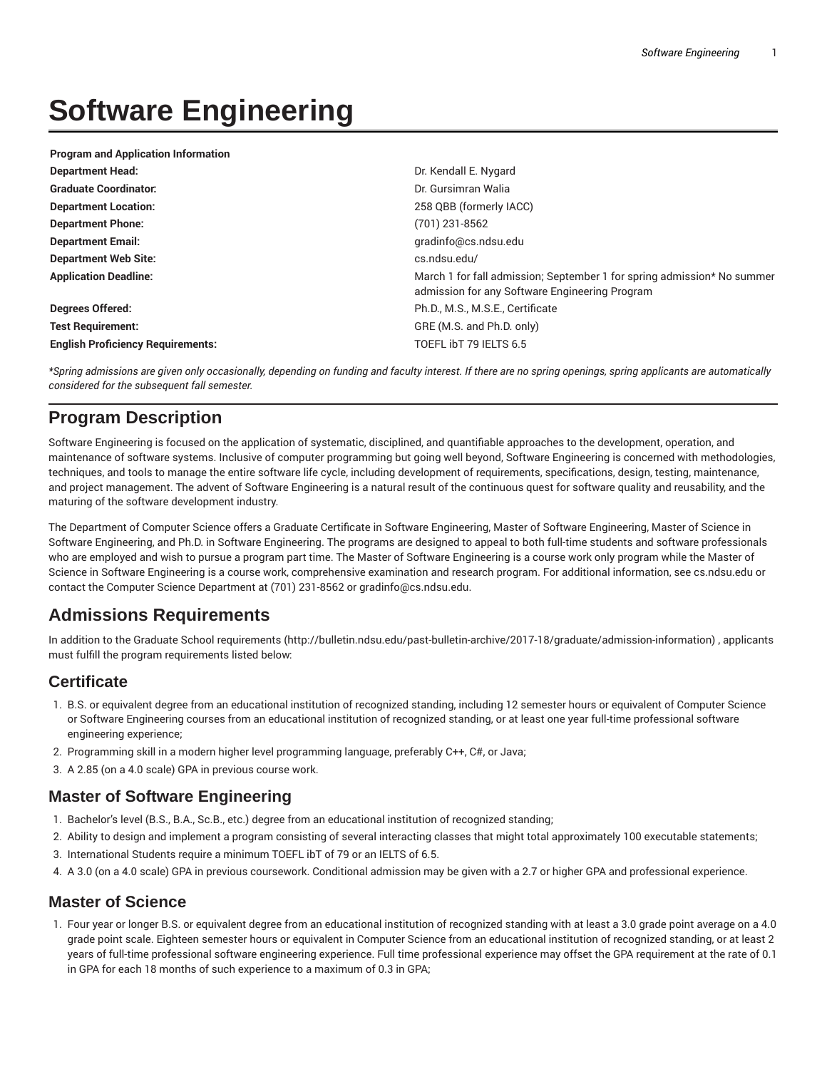# **Software Engineering**

| <b>Program and Application Information</b> |                                                                                                                           |
|--------------------------------------------|---------------------------------------------------------------------------------------------------------------------------|
| <b>Department Head:</b>                    | Dr. Kendall E. Nygard                                                                                                     |
| <b>Graduate Coordinator:</b>               | Dr. Gursimran Walia                                                                                                       |
| <b>Department Location:</b>                | 258 QBB (formerly IACC)                                                                                                   |
| <b>Department Phone:</b>                   | (701) 231-8562                                                                                                            |
| <b>Department Email:</b>                   | gradinfo@cs.ndsu.edu                                                                                                      |
| <b>Department Web Site:</b>                | cs.ndsu.edu/                                                                                                              |
| <b>Application Deadline:</b>               | March 1 for fall admission; September 1 for spring admission* No summer<br>admission for any Software Engineering Program |
| <b>Degrees Offered:</b>                    | Ph.D., M.S., M.S.E., Certificate                                                                                          |
| <b>Test Requirement:</b>                   | GRE (M.S. and Ph.D. only)                                                                                                 |
| <b>English Proficiency Requirements:</b>   | TOEFL IbT 79 IELTS 6.5                                                                                                    |
|                                            |                                                                                                                           |

\*Spring admissions are given only occasionally, depending on funding and faculty interest. If there are no spring openings, spring applicants are automatically *considered for the subsequent fall semester.*

# **Program Description**

Software Engineering is focused on the application of systematic, disciplined, and quantifiable approaches to the development, operation, and maintenance of software systems. Inclusive of computer programming but going well beyond, Software Engineering is concerned with methodologies, techniques, and tools to manage the entire software life cycle, including development of requirements, specifications, design, testing, maintenance, and project management. The advent of Software Engineering is a natural result of the continuous quest for software quality and reusability, and the maturing of the software development industry.

The Department of Computer Science offers a Graduate Certificate in Software Engineering, Master of Software Engineering, Master of Science in Software Engineering, and Ph.D. in Software Engineering. The programs are designed to appeal to both full-time students and software professionals who are employed and wish to pursue a program part time. The Master of Software Engineering is a course work only program while the Master of Science in Software Engineering is a course work, comprehensive examination and research program. For additional information, see cs.ndsu.edu or contact the Computer Science Department at (701) 231-8562 or gradinfo@cs.ndsu.edu.

# **Admissions Requirements**

In addition to the Graduate School requirements (http://bulletin.ndsu.edu/past-bulletin-archive/2017-18/graduate/admission-information) , applicants must fulfill the program requirements listed below:

### **Certificate**

- 1. B.S. or equivalent degree from an educational institution of recognized standing, including 12 semester hours or equivalent of Computer Science or Software Engineering courses from an educational institution of recognized standing, or at least one year full-time professional software engineering experience;
- 2. Programming skill in a modern higher level programming language, preferably C++, C#, or Java;
- 3. A 2.85 (on a 4.0 scale) GPA in previous course work.

### **Master of Software Engineering**

- 1. Bachelor's level (B.S., B.A., Sc.B., etc.) degree from an educational institution of recognized standing;
- 2. Ability to design and implement a program consisting of several interacting classes that might total approximately 100 executable statements;
- 3. International Students require a minimum TOEFL ibT of 79 or an IELTS of 6.5.
- 4. A 3.0 (on a 4.0 scale) GPA in previous coursework. Conditional admission may be given with a 2.7 or higher GPA and professional experience.

### **Master of Science**

1. Four year or longer B.S. or equivalent degree from an educational institution of recognized standing with at least a 3.0 grade point average on a 4.0 grade point scale. Eighteen semester hours or equivalent in Computer Science from an educational institution of recognized standing, or at least 2 years of full-time professional software engineering experience. Full time professional experience may offset the GPA requirement at the rate of 0.1 in GPA for each 18 months of such experience to a maximum of 0.3 in GPA;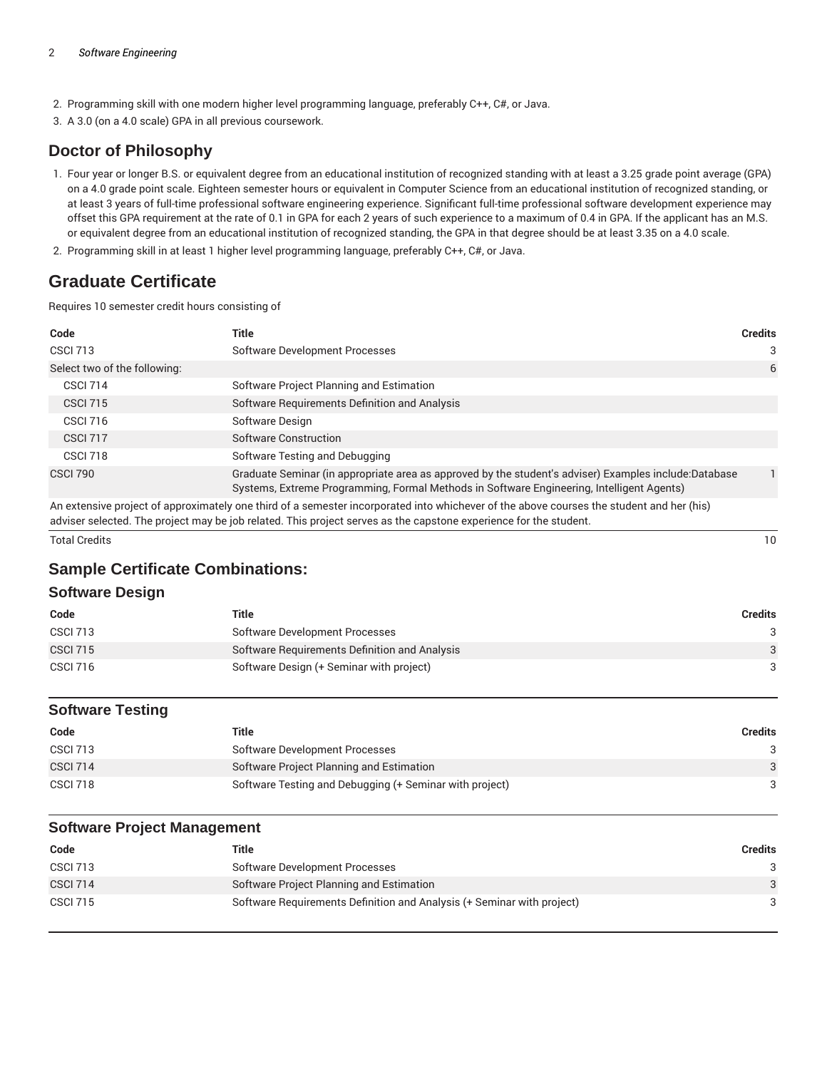- 2. Programming skill with one modern higher level programming language, preferably C++, C#, or Java.
- 3. A 3.0 (on a 4.0 scale) GPA in all previous coursework.

### **Doctor of Philosophy**

- 1. Four year or longer B.S. or equivalent degree from an educational institution of recognized standing with at least a 3.25 grade point average (GPA) on a 4.0 grade point scale. Eighteen semester hours or equivalent in Computer Science from an educational institution of recognized standing, or at least 3 years of full-time professional software engineering experience. Significant full-time professional software development experience may offset this GPA requirement at the rate of 0.1 in GPA for each 2 years of such experience to a maximum of 0.4 in GPA. If the applicant has an M.S. or equivalent degree from an educational institution of recognized standing, the GPA in that degree should be at least 3.35 on a 4.0 scale.
- 2. Programming skill in at least 1 higher level programming language, preferably C++, C#, or Java.

# **Graduate Certificate**

Requires 10 semester credit hours consisting of

| Code                         | Title                                                                                                                                                                                              | <b>Credits</b> |
|------------------------------|----------------------------------------------------------------------------------------------------------------------------------------------------------------------------------------------------|----------------|
| <b>CSCI 713</b>              | Software Development Processes                                                                                                                                                                     | 3              |
| Select two of the following: |                                                                                                                                                                                                    | 6              |
| <b>CSCI 714</b>              | Software Project Planning and Estimation                                                                                                                                                           |                |
| <b>CSCI 715</b>              | Software Requirements Definition and Analysis                                                                                                                                                      |                |
| <b>CSCI 716</b>              | Software Design                                                                                                                                                                                    |                |
| <b>CSCI 717</b>              | Software Construction                                                                                                                                                                              |                |
| <b>CSCI 718</b>              | Software Testing and Debugging                                                                                                                                                                     |                |
| <b>CSCI 790</b>              | Graduate Seminar (in appropriate area as approved by the student's adviser) Examples include:Database<br>Systems, Extreme Programming, Formal Methods in Software Engineering, Intelligent Agents) | 1.             |

An extensive project of approximately one third of a semester incorporated into whichever of the above courses the student and her (his) adviser selected. The project may be job related. This project serves as the capstone experience for the student.

Total Credits 10

### **Sample Certificate Combinations:**

### **Software Design**

| Code            | Title                                         | Credits |
|-----------------|-----------------------------------------------|---------|
| <b>CSCI 713</b> | Software Development Processes                |         |
| <b>CSCI 715</b> | Software Requirements Definition and Analysis | 3       |
| <b>CSCI 716</b> | Software Design (+ Seminar with project)      |         |

### **Software Testing**

| Code            | Title                                                   | Credits |
|-----------------|---------------------------------------------------------|---------|
| <b>CSCI 713</b> | Software Development Processes                          |         |
| <b>CSCI 714</b> | Software Project Planning and Estimation                | 3       |
| <b>CSCI 718</b> | Software Testing and Debugging (+ Seminar with project) |         |

### **Software Project Management**

| Code            | Title                                                                  | <b>Credits</b> |
|-----------------|------------------------------------------------------------------------|----------------|
| <b>CSCI 713</b> | Software Development Processes                                         |                |
| <b>CSCI 714</b> | Software Project Planning and Estimation                               |                |
| <b>CSCI 715</b> | Software Requirements Definition and Analysis (+ Seminar with project) |                |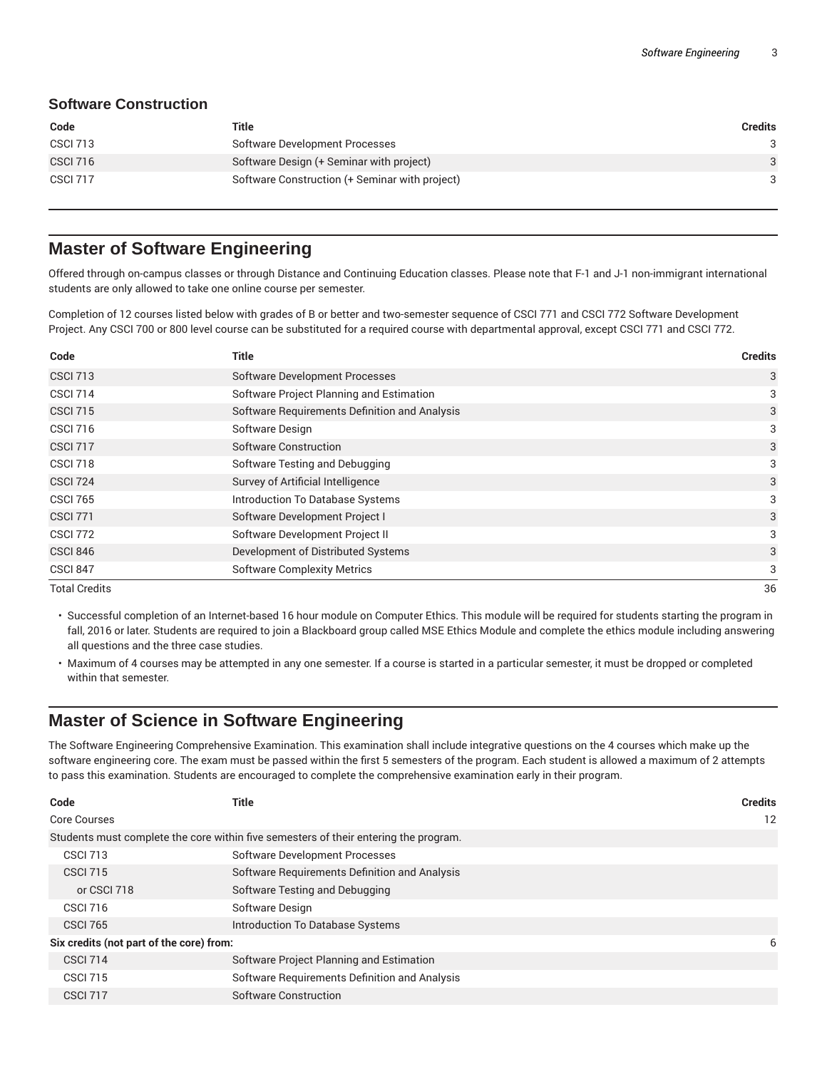### **Software Construction**

| Code            | Title                                          | Credits |
|-----------------|------------------------------------------------|---------|
| <b>CSCI 713</b> | Software Development Processes                 |         |
| <b>CSCI 716</b> | Software Design (+ Seminar with project)       | 3       |
| <b>CSCI 717</b> | Software Construction (+ Seminar with project) |         |

### **Master of Software Engineering**

Offered through on-campus classes or through Distance and Continuing Education classes. Please note that F-1 and J-1 non-immigrant international students are only allowed to take one online course per semester.

Completion of 12 courses listed below with grades of B or better and two-semester sequence of CSCI 771 and CSCI 772 Software Development Project. Any CSCI 700 or 800 level course can be substituted for a required course with departmental approval, except CSCI 771 and CSCI 772.

| Code                 | <b>Title</b>                                  | <b>Credits</b> |
|----------------------|-----------------------------------------------|----------------|
| <b>CSCI 713</b>      | <b>Software Development Processes</b>         | 3              |
| <b>CSCI 714</b>      | Software Project Planning and Estimation      | 3              |
| <b>CSCI 715</b>      | Software Requirements Definition and Analysis | 3              |
| <b>CSCI 716</b>      | Software Design                               | 3              |
| CSCI 717             | Software Construction                         | 3              |
| CSCI 718             | Software Testing and Debugging                | 3              |
| <b>CSCI 724</b>      | Survey of Artificial Intelligence             | 3              |
| <b>CSCI 765</b>      | Introduction To Database Systems              | 3              |
| <b>CSCI 771</b>      | Software Development Project I                | 3              |
| <b>CSCI 772</b>      | Software Development Project II               | 3              |
| <b>CSCI 846</b>      | Development of Distributed Systems            | 3              |
| CSCI 847             | <b>Software Complexity Metrics</b>            | 3              |
| <b>Total Credits</b> |                                               | 36             |

- Successful completion of an Internet-based 16 hour module on Computer Ethics. This module will be required for students starting the program in fall, 2016 or later. Students are required to join a Blackboard group called MSE Ethics Module and complete the ethics module including answering all questions and the three case studies.
- Maximum of 4 courses may be attempted in any one semester. If a course is started in a particular semester, it must be dropped or completed within that semester.

### **Master of Science in Software Engineering**

The Software Engineering Comprehensive Examination. This examination shall include integrative questions on the 4 courses which make up the software engineering core. The exam must be passed within the first 5 semesters of the program. Each student is allowed a maximum of 2 attempts to pass this examination. Students are encouraged to complete the comprehensive examination early in their program.

| Code                                     | Title                                                                                | <b>Credits</b> |
|------------------------------------------|--------------------------------------------------------------------------------------|----------------|
| Core Courses                             |                                                                                      | 12             |
|                                          | Students must complete the core within five semesters of their entering the program. |                |
| <b>CSCI 713</b>                          | <b>Software Development Processes</b>                                                |                |
| <b>CSCI 715</b>                          | Software Requirements Definition and Analysis                                        |                |
| or CSCI 718                              | Software Testing and Debugging                                                       |                |
| <b>CSCI 716</b>                          | Software Design                                                                      |                |
| <b>CSCI 765</b>                          | Introduction To Database Systems                                                     |                |
| Six credits (not part of the core) from: |                                                                                      | 6              |
| <b>CSCI 714</b>                          | Software Project Planning and Estimation                                             |                |
| <b>CSCI 715</b>                          | Software Requirements Definition and Analysis                                        |                |
| <b>CSCI 717</b>                          | Software Construction                                                                |                |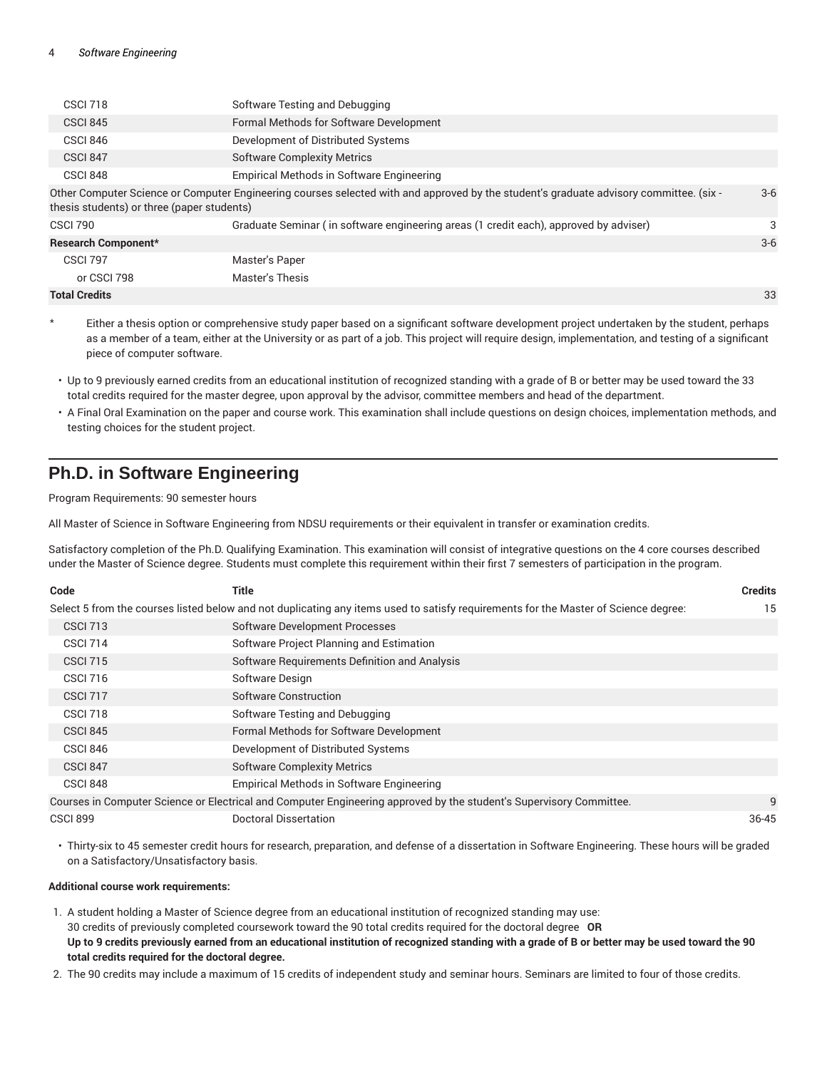| <b>CSCI 718</b>                            | Software Testing and Debugging                                                                                                         |       |
|--------------------------------------------|----------------------------------------------------------------------------------------------------------------------------------------|-------|
| <b>CSCI 845</b>                            | Formal Methods for Software Development                                                                                                |       |
| <b>CSCI 846</b>                            | Development of Distributed Systems                                                                                                     |       |
| <b>CSCI 847</b>                            | <b>Software Complexity Metrics</b>                                                                                                     |       |
| CSCI 848                                   | Empirical Methods in Software Engineering                                                                                              |       |
| thesis students) or three (paper students) | Other Computer Science or Computer Engineering courses selected with and approved by the student's graduate advisory committee. (six - | $3-6$ |
| <b>CSCI 790</b>                            | Graduate Seminar (in software engineering areas (1 credit each), approved by adviser)                                                  | 3     |
| Research Component*                        |                                                                                                                                        | $3-6$ |
| <b>CSCI 797</b>                            | Master's Paper                                                                                                                         |       |
| or CSCI 798                                | Master's Thesis                                                                                                                        |       |
| <b>Total Credits</b>                       |                                                                                                                                        | 33    |

- Either a thesis option or comprehensive study paper based on a significant software development project undertaken by the student, perhaps as a member of a team, either at the University or as part of a job. This project will require design, implementation, and testing of a significant piece of computer software.
- Up to 9 previously earned credits from an educational institution of recognized standing with a grade of B or better may be used toward the 33 total credits required for the master degree, upon approval by the advisor, committee members and head of the department.
- A Final Oral Examination on the paper and course work. This examination shall include questions on design choices, implementation methods, and testing choices for the student project.

# **Ph.D. in Software Engineering**

Program Requirements: 90 semester hours

All Master of Science in Software Engineering from NDSU requirements or their equivalent in transfer or examination credits.

Satisfactory completion of the Ph.D. Qualifying Examination. This examination will consist of integrative questions on the 4 core courses described under the Master of Science degree. Students must complete this requirement within their first 7 semesters of participation in the program.

| Code            | <b>Title</b>                                                                                                                        | <b>Credits</b> |
|-----------------|-------------------------------------------------------------------------------------------------------------------------------------|----------------|
|                 | Select 5 from the courses listed below and not duplicating any items used to satisfy requirements for the Master of Science degree: | 15             |
| <b>CSCI 713</b> | <b>Software Development Processes</b>                                                                                               |                |
| <b>CSCI 714</b> | Software Project Planning and Estimation                                                                                            |                |
| <b>CSCI 715</b> | Software Requirements Definition and Analysis                                                                                       |                |
| <b>CSCI 716</b> | Software Design                                                                                                                     |                |
| <b>CSCI 717</b> | Software Construction                                                                                                               |                |
| CSCI 718        | Software Testing and Debugging                                                                                                      |                |
| <b>CSCI 845</b> | Formal Methods for Software Development                                                                                             |                |
| <b>CSCI 846</b> | Development of Distributed Systems                                                                                                  |                |
| CSCI 847        | <b>Software Complexity Metrics</b>                                                                                                  |                |
| CSCI 848        | Empirical Methods in Software Engineering                                                                                           |                |
|                 | Courses in Computer Science or Electrical and Computer Engineering approved by the student's Supervisory Committee.                 | 9              |
| <b>CSCI 899</b> | <b>Doctoral Dissertation</b>                                                                                                        | $36 - 45$      |

• Thirty-six to 45 semester credit hours for research, preparation, and defense of a dissertation in Software Engineering. These hours will be graded on a Satisfactory/Unsatisfactory basis.

#### **Additional course work requirements:**

- 1. A student holding a Master of Science degree from an educational institution of recognized standing may use: 30 credits of previously completed coursework toward the 90 total credits required for the doctoral degree **OR** Up to 9 credits previously earned from an educational institution of recognized standing with a grade of B or better may be used toward the 90 **total credits required for the doctoral degree.**
- 2. The 90 credits may include a maximum of 15 credits of independent study and seminar hours. Seminars are limited to four of those credits.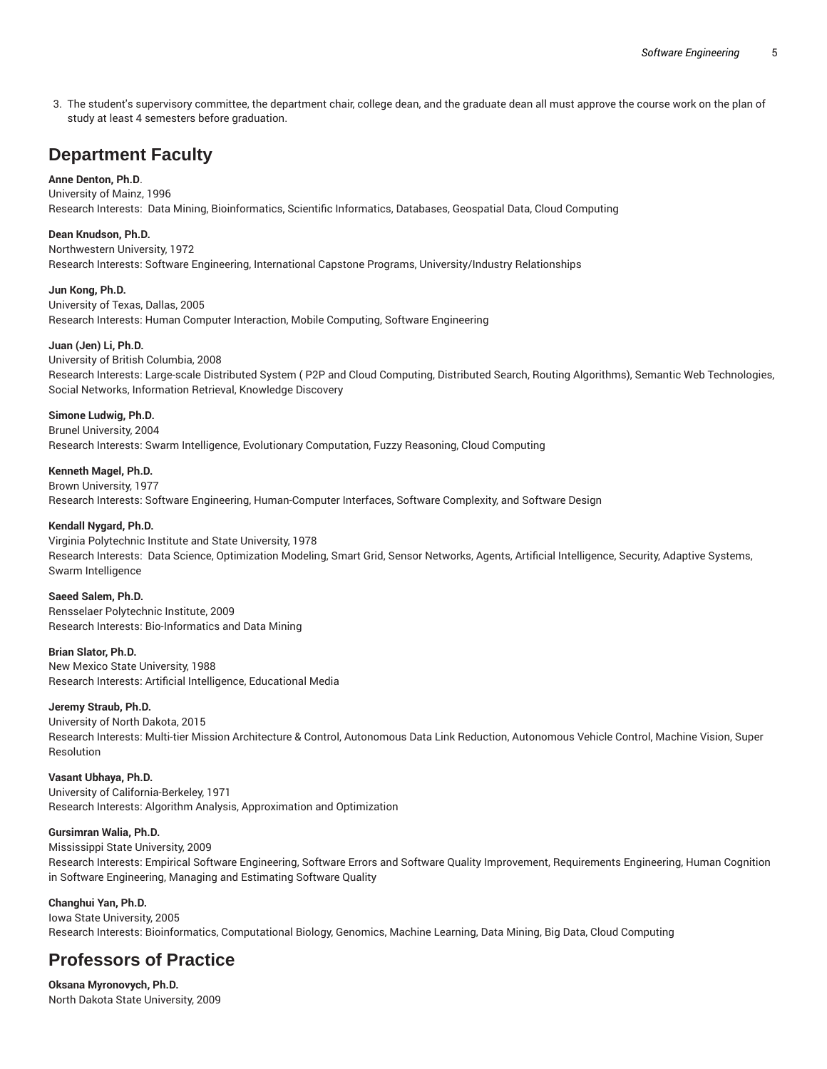3. The student's supervisory committee, the department chair, college dean, and the graduate dean all must approve the course work on the plan of study at least 4 semesters before graduation.

# **Department Faculty**

#### **Anne Denton, Ph.D**.

University of Mainz, 1996 Research Interests: Data Mining, Bioinformatics, Scientific Informatics, Databases, Geospatial Data, Cloud Computing

#### **Dean Knudson, Ph.D.**

Northwestern University, 1972

Research Interests: Software Engineering, International Capstone Programs, University/Industry Relationships

**Jun Kong, Ph.D.** University of Texas, Dallas, 2005 Research Interests: Human Computer Interaction, Mobile Computing, Software Engineering

#### **Juan (Jen) Li, Ph.D.**

University of British Columbia, 2008 Research Interests: Large-scale Distributed System ( P2P and Cloud Computing, Distributed Search, Routing Algorithms), Semantic Web Technologies, Social Networks, Information Retrieval, Knowledge Discovery

#### **Simone Ludwig, Ph.D.**

Brunel University, 2004 Research Interests: Swarm Intelligence, Evolutionary Computation, Fuzzy Reasoning, Cloud Computing

**Kenneth Magel, Ph.D.**

Brown University, 1977 Research Interests: Software Engineering, Human-Computer Interfaces, Software Complexity, and Software Design

#### **Kendall Nygard, Ph.D.**

Virginia Polytechnic Institute and State University, 1978 Research Interests: Data Science, Optimization Modeling, Smart Grid, Sensor Networks, Agents, Artificial Intelligence, Security, Adaptive Systems, Swarm Intelligence

**Saeed Salem, Ph.D.**

Rensselaer Polytechnic Institute, 2009 Research Interests: Bio-Informatics and Data Mining

**Brian Slator, Ph.D.**

New Mexico State University, 1988 Research Interests: Artificial Intelligence, Educational Media

#### **Jeremy Straub, Ph.D.**

University of North Dakota, 2015 Research Interests: Multi-tier Mission Architecture & Control, Autonomous Data Link Reduction, Autonomous Vehicle Control, Machine Vision, Super Resolution

**Vasant Ubhaya, Ph.D.** University of California-Berkeley, 1971 Research Interests: Algorithm Analysis, Approximation and Optimization

#### **Gursimran Walia, Ph.D.**

Mississippi State University, 2009 Research Interests: Empirical Software Engineering, Software Errors and Software Quality Improvement, Requirements Engineering, Human Cognition in Software Engineering, Managing and Estimating Software Quality

**Changhui Yan, Ph.D.** Iowa State University, 2005 Research Interests: Bioinformatics, Computational Biology, Genomics, Machine Learning, Data Mining, Big Data, Cloud Computing

# **Professors of Practice**

**Oksana Myronovych, Ph.D.** North Dakota State University, 2009